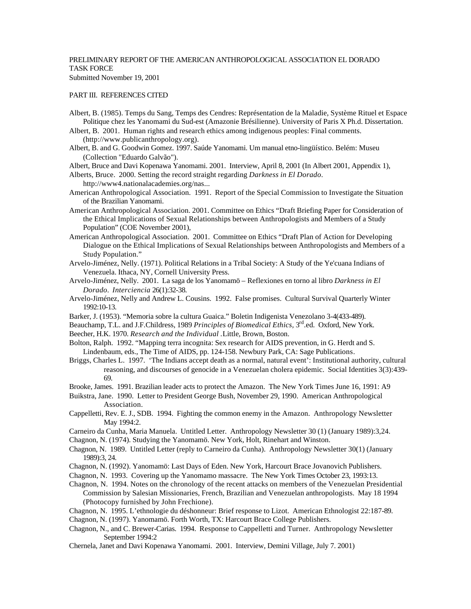## PRELIMINARY REPORT OF THE AMERICAN ANTHROPOLOGICAL ASSOCIATION EL DORADO TASK FORCE Submitted November 19, 2001

## PART III. REFERENCES CITED

- Albert, B. (1985). Temps du Sang, Temps des Cendres: Représentation de la Maladie, Système Rituel et Espace Politique chez les Yanomami du Sud-est (Amazonie Brésilienne). University of Paris X Ph.d. Dissertation.
- Albert, B. 2001. Human rights and research ethics among indigenous peoples: Final comments. (http://www.publicanthropology.org).
- Albert, B. and G. Goodwin Gomez. 1997. Saúde Yanomami. Um manual etno-lingüístico. Belém: Museu (Collection "Eduardo Galvão").
- Albert, Bruce and Davi Kopenawa Yanomami. 2001. Interview, April 8, 2001 (In Albert 2001, Appendix 1),
- Alberts, Bruce. 2000. Setting the record straight regarding *Darkness in El Dorado*. http://www4.nationalacademies.org/nas...
- American Anthropological Association. 1991. Report of the Special Commission to Investigate the Situation of the Brazilian Yanomami.
- American Anthropological Association. 2001. Committee on Ethics "Draft Briefing Paper for Consideration of the Ethical Implications of Sexual Relationships between Anthropologists and Members of a Study Population" (COE November 2001),
- American Anthropological Association. 2001. Committee on Ethics "Draft Plan of Action for Developing Dialogue on the Ethical Implications of Sexual Relationships between Anthropologists and Members of a Study Population."
- Arvelo-Jiménez, Nelly. (1971). Political Relations in a Tribal Society: A Study of the Ye'cuana Indians of Venezuela. Ithaca, NY, Cornell University Press.
- Arvelo-Jiménez, Nelly. 2001. La saga de los Yanomamö Reflexiones en torno al libro *Darkness in El Dorado*. *Interciencia* 26(1):32-38.
- Arvelo-Jiménez, Nelly and Andrew L. Cousins. 1992. False promises. Cultural Survival Quarterly Winter 1992:10-13.
- Barker, J. (1953). "Memoria sobre la cultura Guaica." Boletin Indigenista Venezolano 3-4(433-489).
- Beauchamp, T.L. and J.F.Childress, 1989 *Principles of Biomedical Ethics*, 3<sup>rd</sup>.ed. Oxford, New York.
- Beecher, H.K. 1970. *Research and the Individual .*Little, Brown, Boston.

Bolton, Ralph. 1992. "Mapping terra incognita: Sex research for AIDS prevention, in G. Herdt and S. Lindenbaum, eds., The Time of AIDS, pp. 124-158. Newbury Park, CA: Sage Publications.

- Briggs, Charles L. 1997. 'The Indians accept death as a normal, natural event': Institutional authority, cultural reasoning, and discourses of genocide in a Venezuelan cholera epidemic. Social Identities 3(3):439- 69.
- Brooke, James. 1991. Brazilian leader acts to protect the Amazon. The New York Times June 16, 1991: A9
- Buikstra, Jane. 1990. Letter to President George Bush, November 29, 1990. American Anthropological Association.
- Cappelletti, Rev. E. J., SDB. 1994. Fighting the common enemy in the Amazon. Anthropology Newsletter May 1994:2.
- Carneiro da Cunha, Maria Manuela. Untitled Letter. Anthropology Newsletter 30 (1) (January 1989):3,24.
- Chagnon, N. (1974). Studying the Yanomamö. New York, Holt, Rinehart and Winston.
- Chagnon, N. 1989. Untitled Letter (reply to Carneiro da Cunha). Anthropology Newsletter 30(1) (January 1989):3, 24.
- Chagnon, N. (1992). Yanomamö: Last Days of Eden. New York, Harcourt Brace Jovanovich Publishers.
- Chagnon, N. 1993. Covering up the Yanomamo massacre. The New York Times October 23, 1993:13.
- Chagnon, N. 1994. Notes on the chronology of the recent attacks on members of the Venezuelan Presidential Commission by Salesian Missionaries, French, Brazilian and Venezuelan anthropologists. May 18 1994 (Photocopy furnished by John Frechione).
- Chagnon, N. 1995. L'ethnologie du déshonneur: Brief response to Lizot. American Ethnologist 22:187-89.
- Chagnon, N. (1997). Yanomamö. Forth Worth, TX: Harcourt Brace College Publishers.
- Chagnon, N., and C. Brewer-Carias. 1994. Response to Cappelletti and Turner. Anthropology Newsletter September 1994:2
- Chernela, Janet and Davi Kopenawa Yanomami. 2001. Interview, Demini Village, July 7. 2001)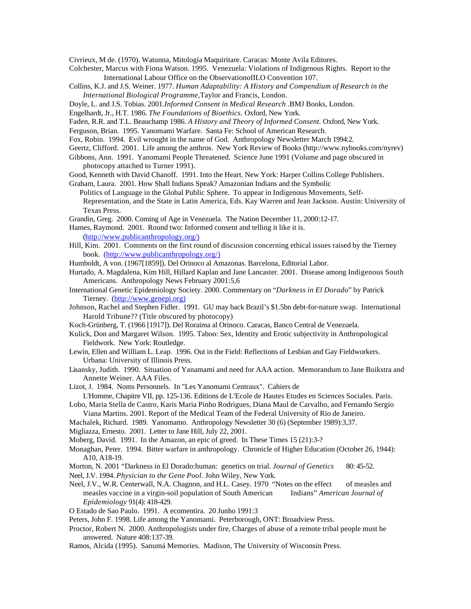Civrieux, M de. (1970). Watunna, Mitología Maquiritare. Caracas: Monte Avila Editores.

- Colchester, Marcus with Fiona Watson. 1995. Venezuela: Violations of Indigenous Rights. Report to the International Labour Office on the ObservationofILO Convention 107.
- Collins, K.J. and J.S. Weiner. 1977. *Human Adaptability: A History and Compendium of Research in the International Biological Programme,*Taylor and Francis, London.
- Doyle, L. and J.S. Tobias. 2001.*Informed Consent in Medical Research .*BMJ Books, London.
- Engelhardt, Jr., H.T. 1986. *The Foundations of Bioethics.* Oxford, New York.
- Faden, R.R. and T.L. Beauchamp 1986. *A History and Theory of Informed Consent.* Oxford, New York.
- Ferguson, Brian. 1995. Yanomami Warfare. Santa Fe: School of American Research.
- Fox, Robin. 1994. Evil wrought in the name of God. Anthropology Newsletter March 1994:2.
- Geertz, Clifford. 2001. Life among the anthros. New York Review of Books (http://www.nybooks.com/nyrev)
- Gibbons, Ann. 1991. Yanomami People Threatened. Science June 1991 (Volume and page obscured in photocopy attached to Turner 1991).
- Good, Kenneth with David Chanoff. 1991. Into the Heart. New York: Harper Collins College Publishers.

Graham, Laura. 2001. How Shall Indians Speak? Amazonian Indians and the Symbolic

 Politics of Language in the Global Public Sphere. To appear in Indigenous Movements, Self-Representation, and the State in Latin America, Eds. Kay Warren and Jean Jackson. Austin: University of Texas Press.

Grandin, Greg. 2000. Coming of Age in Venezuela. The Nation December 11, 2000:12-17.

- Hames, Raymond. 2001. Round two: Informed consent and telling it like it is. (http://www.publicanthropology.org/)
- Hill, Kim. 2001. Comments on the first round of discussion concerning ethical issues raised by the Tierney book. (http://www.publicanthropology.org/)
- Humboldt, A von. (1967[1859]). Del Orinoco al Amazonas. Barcelona, Editorial Labor.
- Hurtado, A. Magdalena, Kim Hill, Hillard Kaplan and Jane Lancaster. 2001. Disease among Indigenous South Americans. Anthropology News February 2001:5,6
- International Genetic Epidemiology Society. 2000. Commentary on "*Darkness in El Dorado*" by Patrick Tierney. (http://www.genepi.org)
- Johnson, Rachel and Stephen Fidler. 1991. GU may back Brazil's \$1.5bn debt-for-nature swap. International Harold Tribune?? (Title obscured by photocopy)
- Koch-Grünberg, T. (1966 [1917]). Del Roraima al Orinoco. Caracas, Banco Central de Venezuela.
- Kulick, Don and Margaret Wilson. 1995. Taboo: Sex, Identity and Erotic subjectivity in Anthropological Fieldwork. New York: Routledge.
- Lewin, Ellen and William L. Leap. 1996. Out in the Field: Reflections of Lesbian and Gay Fieldworkers. Urbana: University of Illinois Press.
- Lisansky, Judith. 1990. Situation of Yanamami and need for AAA action. Memorandum to Jane Buikstra and Annette Weiner. AAA Files.

Lizot, J. 1984. Noms Personnels. In "Les Yanomami Centraux". Cahiers de

- L'Homme, Chapitre VII, pp. 125-136. Editions de L'Ecole de Hautes Etudes en Sciences Sociales. Paris. Lobo, Maria Stella de Castro, Karis Maria Pinho Rodrigues, Diana Maul de Carvalho, and Fernando Sergio
- Viana Martins. 2001. Report of the Medical Team of the Federal University of Rio de Janeiro.
- Machalek, Richard. 1989. Yanomamo. Anthropology Newsletter 30 (6) (September 1989):3,37.

Migliazza, Ernesto. 2001. Letter to Jane Hill, July 22, 2001.

Moberg, David. 1991. In the Amazon, an epic of greed. In These Times 15 (21):3-?

- Monaghan, Peter. 1994. Bitter warfare in anthropology. Chronicle of Higher Education (October 26, 1944): A10, A18-19.
- Morton, N. 2001 "Darkness in El Dorado:human: genetics on trial. *Journal of Genetics* 80: 45-52.
- Neel, J.V. 1994. *Physician to the Gene Pool.* John Wiley, New York.
- Neel, J.V., W.R. Centerwall, N.A. Chagnon, and H.L. Casey. 1970 "Notes on the effect of measles and measles vaccine in a virgin-soil population of South American Indians" *American Journal of Epidemiology* 91(4): 418-429.
- O Estado de Sao Paulo. 1991. A ecomentira. 20 Junho 1991:3
- Peters, John F. 1998. Life among the Yanomami. Peterborough, ONT: Broadview Press.
- Proctor, Robert N. 2000. Anthropologists under fire, Charges of abuse of a remote tribal people must be answered. Nature 408:137-39.
- Ramos, Alcida (1995). Sanumá Memories. Madison, The University of Wisconsin Press.